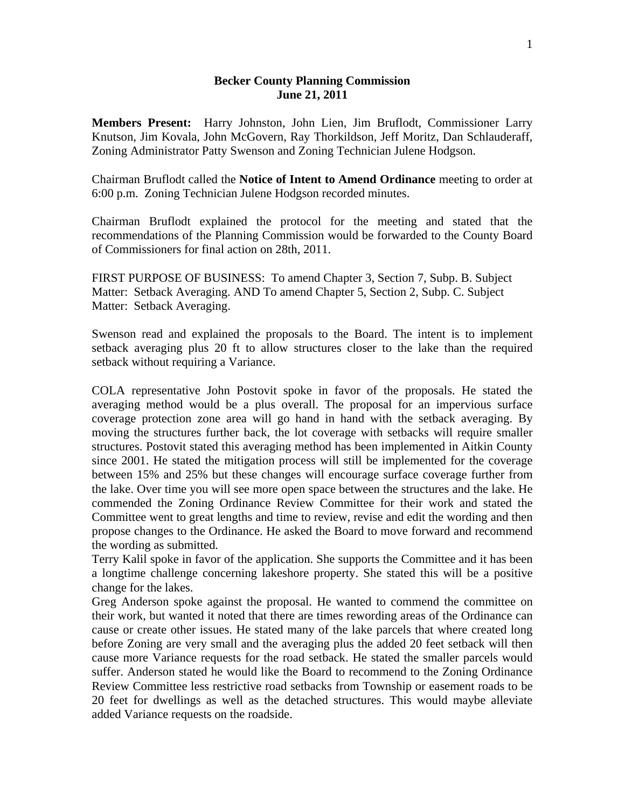## **Becker County Planning Commission June 21, 2011**

**Members Present:** Harry Johnston, John Lien, Jim Bruflodt, Commissioner Larry Knutson, Jim Kovala, John McGovern, Ray Thorkildson, Jeff Moritz, Dan Schlauderaff, Zoning Administrator Patty Swenson and Zoning Technician Julene Hodgson.

Chairman Bruflodt called the **Notice of Intent to Amend Ordinance** meeting to order at 6:00 p.m. Zoning Technician Julene Hodgson recorded minutes.

Chairman Bruflodt explained the protocol for the meeting and stated that the recommendations of the Planning Commission would be forwarded to the County Board of Commissioners for final action on 28th, 2011.

FIRST PURPOSE OF BUSINESS: To amend Chapter 3, Section 7, Subp. B. Subject Matter: Setback Averaging. AND To amend Chapter 5, Section 2, Subp. C. Subject Matter: Setback Averaging.

Swenson read and explained the proposals to the Board. The intent is to implement setback averaging plus 20 ft to allow structures closer to the lake than the required setback without requiring a Variance.

COLA representative John Postovit spoke in favor of the proposals. He stated the averaging method would be a plus overall. The proposal for an impervious surface coverage protection zone area will go hand in hand with the setback averaging. By moving the structures further back, the lot coverage with setbacks will require smaller structures. Postovit stated this averaging method has been implemented in Aitkin County since 2001. He stated the mitigation process will still be implemented for the coverage between 15% and 25% but these changes will encourage surface coverage further from the lake. Over time you will see more open space between the structures and the lake. He commended the Zoning Ordinance Review Committee for their work and stated the Committee went to great lengths and time to review, revise and edit the wording and then propose changes to the Ordinance. He asked the Board to move forward and recommend the wording as submitted.

Terry Kalil spoke in favor of the application. She supports the Committee and it has been a longtime challenge concerning lakeshore property. She stated this will be a positive change for the lakes.

Greg Anderson spoke against the proposal. He wanted to commend the committee on their work, but wanted it noted that there are times rewording areas of the Ordinance can cause or create other issues. He stated many of the lake parcels that where created long before Zoning are very small and the averaging plus the added 20 feet setback will then cause more Variance requests for the road setback. He stated the smaller parcels would suffer. Anderson stated he would like the Board to recommend to the Zoning Ordinance Review Committee less restrictive road setbacks from Township or easement roads to be 20 feet for dwellings as well as the detached structures. This would maybe alleviate added Variance requests on the roadside.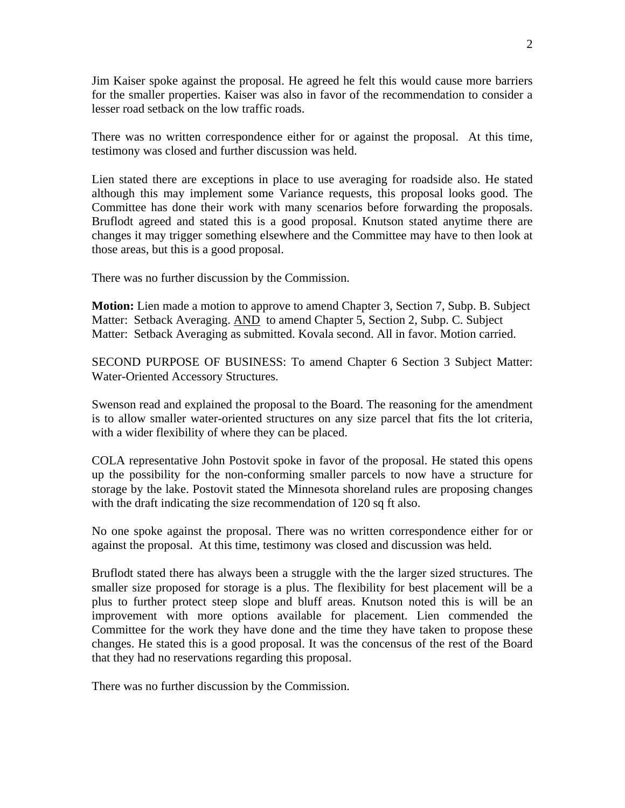Jim Kaiser spoke against the proposal. He agreed he felt this would cause more barriers for the smaller properties. Kaiser was also in favor of the recommendation to consider a lesser road setback on the low traffic roads.

There was no written correspondence either for or against the proposal. At this time, testimony was closed and further discussion was held.

Lien stated there are exceptions in place to use averaging for roadside also. He stated although this may implement some Variance requests, this proposal looks good. The Committee has done their work with many scenarios before forwarding the proposals. Bruflodt agreed and stated this is a good proposal. Knutson stated anytime there are changes it may trigger something elsewhere and the Committee may have to then look at those areas, but this is a good proposal.

There was no further discussion by the Commission.

**Motion:** Lien made a motion to approve to amend Chapter 3, Section 7, Subp. B. Subject Matter: Setback Averaging. AND to amend Chapter 5, Section 2, Subp. C. Subject Matter: Setback Averaging as submitted. Kovala second. All in favor. Motion carried.

SECOND PURPOSE OF BUSINESS: To amend Chapter 6 Section 3 Subject Matter: Water-Oriented Accessory Structures.

Swenson read and explained the proposal to the Board. The reasoning for the amendment is to allow smaller water-oriented structures on any size parcel that fits the lot criteria, with a wider flexibility of where they can be placed.

COLA representative John Postovit spoke in favor of the proposal. He stated this opens up the possibility for the non-conforming smaller parcels to now have a structure for storage by the lake. Postovit stated the Minnesota shoreland rules are proposing changes with the draft indicating the size recommendation of 120 sq ft also.

No one spoke against the proposal. There was no written correspondence either for or against the proposal. At this time, testimony was closed and discussion was held.

Bruflodt stated there has always been a struggle with the the larger sized structures. The smaller size proposed for storage is a plus. The flexibility for best placement will be a plus to further protect steep slope and bluff areas. Knutson noted this is will be an improvement with more options available for placement. Lien commended the Committee for the work they have done and the time they have taken to propose these changes. He stated this is a good proposal. It was the concensus of the rest of the Board that they had no reservations regarding this proposal.

There was no further discussion by the Commission.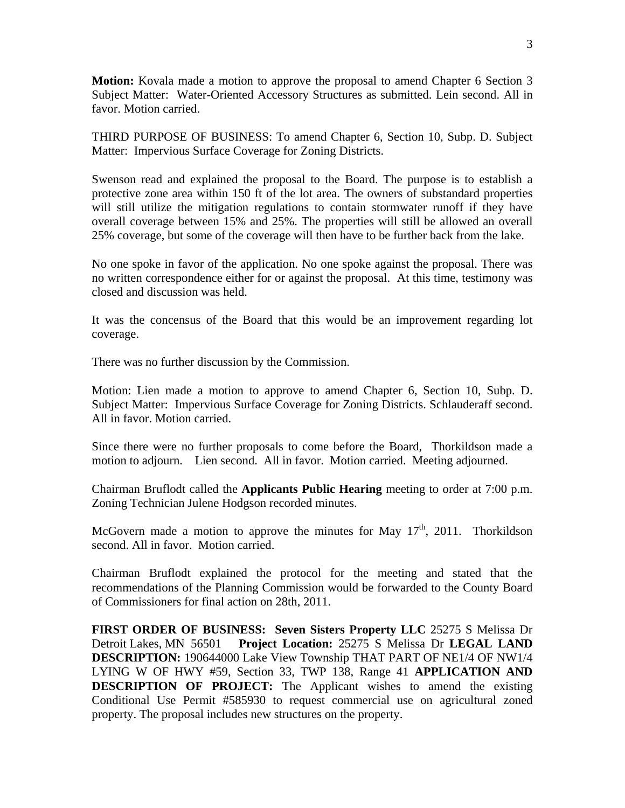**Motion:** Kovala made a motion to approve the proposal to amend Chapter 6 Section 3 Subject Matter: Water-Oriented Accessory Structures as submitted. Lein second. All in favor. Motion carried.

THIRD PURPOSE OF BUSINESS: To amend Chapter 6, Section 10, Subp. D. Subject Matter: Impervious Surface Coverage for Zoning Districts.

Swenson read and explained the proposal to the Board. The purpose is to establish a protective zone area within 150 ft of the lot area. The owners of substandard properties will still utilize the mitigation regulations to contain stormwater runoff if they have overall coverage between 15% and 25%. The properties will still be allowed an overall 25% coverage, but some of the coverage will then have to be further back from the lake.

No one spoke in favor of the application. No one spoke against the proposal. There was no written correspondence either for or against the proposal. At this time, testimony was closed and discussion was held.

It was the concensus of the Board that this would be an improvement regarding lot coverage.

There was no further discussion by the Commission.

Motion: Lien made a motion to approve to amend Chapter 6, Section 10, Subp. D. Subject Matter: Impervious Surface Coverage for Zoning Districts. Schlauderaff second. All in favor. Motion carried.

Since there were no further proposals to come before the Board, Thorkildson made a motion to adjourn. Lien second. All in favor. Motion carried. Meeting adjourned.

Chairman Bruflodt called the **Applicants Public Hearing** meeting to order at 7:00 p.m. Zoning Technician Julene Hodgson recorded minutes.

McGovern made a motion to approve the minutes for May  $17<sup>th</sup>$ , 2011. Thorkildson second. All in favor. Motion carried.

Chairman Bruflodt explained the protocol for the meeting and stated that the recommendations of the Planning Commission would be forwarded to the County Board of Commissioners for final action on 28th, 2011.

**FIRST ORDER OF BUSINESS: Seven Sisters Property LLC** 25275 S Melissa Dr Detroit Lakes, MN 56501 **Project Location:** 25275 S Melissa Dr **LEGAL LAND DESCRIPTION:** 190644000 Lake View Township THAT PART OF NE1/4 OF NW1/4 LYING W OF HWY #59, Section 33, TWP 138, Range 41 **APPLICATION AND DESCRIPTION OF PROJECT:** The Applicant wishes to amend the existing Conditional Use Permit #585930 to request commercial use on agricultural zoned property. The proposal includes new structures on the property.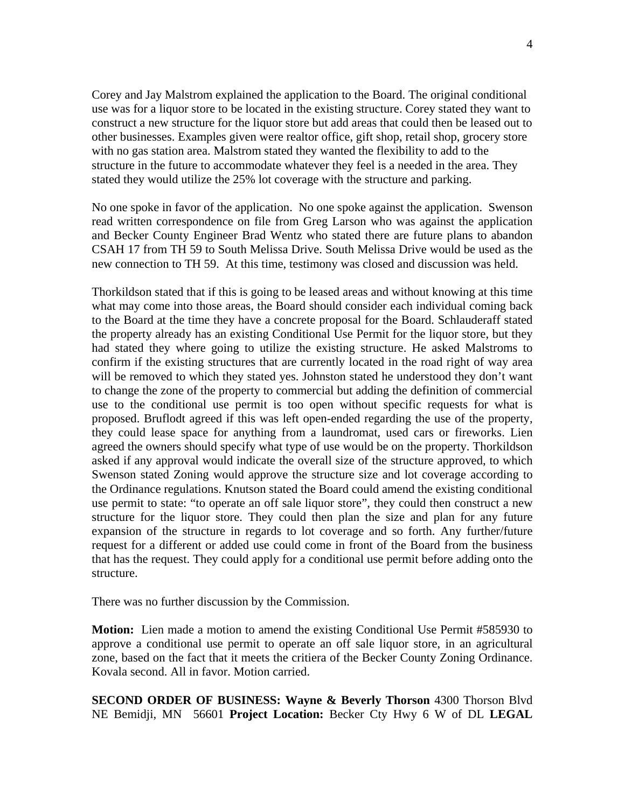Corey and Jay Malstrom explained the application to the Board. The original conditional use was for a liquor store to be located in the existing structure. Corey stated they want to construct a new structure for the liquor store but add areas that could then be leased out to other businesses. Examples given were realtor office, gift shop, retail shop, grocery store with no gas station area. Malstrom stated they wanted the flexibility to add to the structure in the future to accommodate whatever they feel is a needed in the area. They stated they would utilize the 25% lot coverage with the structure and parking.

No one spoke in favor of the application. No one spoke against the application. Swenson read written correspondence on file from Greg Larson who was against the application and Becker County Engineer Brad Wentz who stated there are future plans to abandon CSAH 17 from TH 59 to South Melissa Drive. South Melissa Drive would be used as the new connection to TH 59. At this time, testimony was closed and discussion was held.

Thorkildson stated that if this is going to be leased areas and without knowing at this time what may come into those areas, the Board should consider each individual coming back to the Board at the time they have a concrete proposal for the Board. Schlauderaff stated the property already has an existing Conditional Use Permit for the liquor store, but they had stated they where going to utilize the existing structure. He asked Malstroms to confirm if the existing structures that are currently located in the road right of way area will be removed to which they stated yes. Johnston stated he understood they don't want to change the zone of the property to commercial but adding the definition of commercial use to the conditional use permit is too open without specific requests for what is proposed. Bruflodt agreed if this was left open-ended regarding the use of the property, they could lease space for anything from a laundromat, used cars or fireworks. Lien agreed the owners should specify what type of use would be on the property. Thorkildson asked if any approval would indicate the overall size of the structure approved, to which Swenson stated Zoning would approve the structure size and lot coverage according to the Ordinance regulations. Knutson stated the Board could amend the existing conditional use permit to state: "to operate an off sale liquor store", they could then construct a new structure for the liquor store. They could then plan the size and plan for any future expansion of the structure in regards to lot coverage and so forth. Any further/future request for a different or added use could come in front of the Board from the business that has the request. They could apply for a conditional use permit before adding onto the structure.

There was no further discussion by the Commission.

**Motion:** Lien made a motion to amend the existing Conditional Use Permit #585930 to approve a conditional use permit to operate an off sale liquor store, in an agricultural zone, based on the fact that it meets the critiera of the Becker County Zoning Ordinance. Kovala second. All in favor. Motion carried.

**SECOND ORDER OF BUSINESS: Wayne & Beverly Thorson** 4300 Thorson Blvd NE Bemidji, MN 56601 **Project Location:** Becker Cty Hwy 6 W of DL **LEGAL**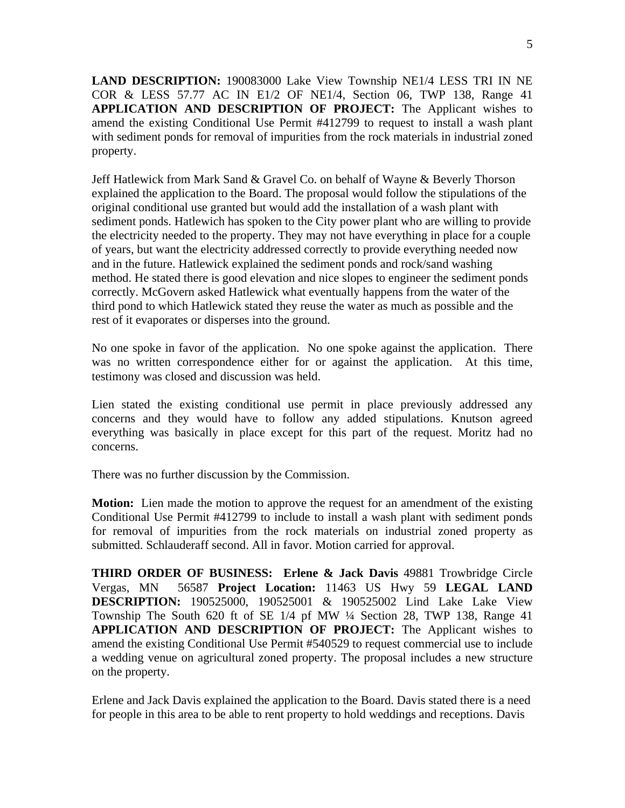**LAND DESCRIPTION:** 190083000 Lake View Township NE1/4 LESS TRI IN NE COR & LESS 57.77 AC IN E1/2 OF NE1/4, Section 06, TWP 138, Range 41 **APPLICATION AND DESCRIPTION OF PROJECT:** The Applicant wishes to amend the existing Conditional Use Permit #412799 to request to install a wash plant with sediment ponds for removal of impurities from the rock materials in industrial zoned property.

Jeff Hatlewick from Mark Sand & Gravel Co. on behalf of Wayne & Beverly Thorson explained the application to the Board. The proposal would follow the stipulations of the original conditional use granted but would add the installation of a wash plant with sediment ponds. Hatlewich has spoken to the City power plant who are willing to provide the electricity needed to the property. They may not have everything in place for a couple of years, but want the electricity addressed correctly to provide everything needed now and in the future. Hatlewick explained the sediment ponds and rock/sand washing method. He stated there is good elevation and nice slopes to engineer the sediment ponds correctly. McGovern asked Hatlewick what eventually happens from the water of the third pond to which Hatlewick stated they reuse the water as much as possible and the rest of it evaporates or disperses into the ground.

No one spoke in favor of the application. No one spoke against the application. There was no written correspondence either for or against the application. At this time, testimony was closed and discussion was held.

Lien stated the existing conditional use permit in place previously addressed any concerns and they would have to follow any added stipulations. Knutson agreed everything was basically in place except for this part of the request. Moritz had no concerns.

There was no further discussion by the Commission.

**Motion:** Lien made the motion to approve the request for an amendment of the existing Conditional Use Permit #412799 to include to install a wash plant with sediment ponds for removal of impurities from the rock materials on industrial zoned property as submitted. Schlauderaff second. All in favor. Motion carried for approval.

**THIRD ORDER OF BUSINESS: Erlene & Jack Davis** 49881 Trowbridge Circle Vergas, MN 56587 **Project Location:** 11463 US Hwy 59 **LEGAL LAND DESCRIPTION:** 190525000, 190525001 & 190525002 Lind Lake Lake View Township The South 620 ft of SE 1/4 pf MW ¼ Section 28, TWP 138, Range 41 **APPLICATION AND DESCRIPTION OF PROJECT:** The Applicant wishes to amend the existing Conditional Use Permit #540529 to request commercial use to include a wedding venue on agricultural zoned property. The proposal includes a new structure on the property.

Erlene and Jack Davis explained the application to the Board. Davis stated there is a need for people in this area to be able to rent property to hold weddings and receptions. Davis